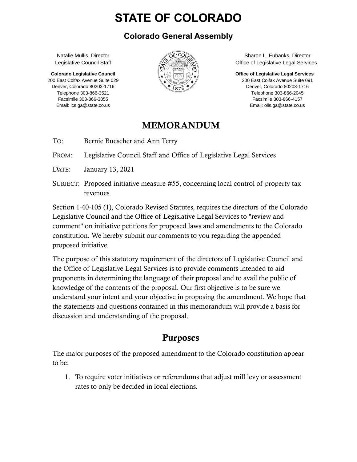# **STATE OF COLORADO**

#### **Colorado General Assembly**

Natalie Mullis, Director Legislative Council Staff

**Colorado Legislative Council** 200 East Colfax Avenue Suite 029 Denver, Colorado 80203-1716 Telephone 303-866-3521 Facsimile 303-866-3855 Email: lcs.ga@state.co.us



Sharon L. Eubanks, Director Office of Legislative Legal Services

**Office of Legislative Legal Services** 200 East Colfax Avenue Suite 091 Denver, Colorado 80203-1716

Telephone 303-866-2045 Facsimile 303-866-4157 Email: olls.ga@state.co.us

### MEMORANDUM

TO: Bernie Buescher and Ann Terry

FROM: Legislative Council Staff and Office of Legislative Legal Services

- DATE: January 13, 2021
- SUBJECT: Proposed initiative measure #55, concerning local control of property tax revenues

Section 1-40-105 (1), Colorado Revised Statutes, requires the directors of the Colorado Legislative Council and the Office of Legislative Legal Services to "review and comment" on initiative petitions for proposed laws and amendments to the Colorado constitution. We hereby submit our comments to you regarding the appended proposed initiative.

The purpose of this statutory requirement of the directors of Legislative Council and the Office of Legislative Legal Services is to provide comments intended to aid proponents in determining the language of their proposal and to avail the public of knowledge of the contents of the proposal. Our first objective is to be sure we understand your intent and your objective in proposing the amendment. We hope that the statements and questions contained in this memorandum will provide a basis for discussion and understanding of the proposal.

# Purposes

The major purposes of the proposed amendment to the Colorado constitution appear to be:

1. To require voter initiatives or referendums that adjust mill levy or assessment rates to only be decided in local elections.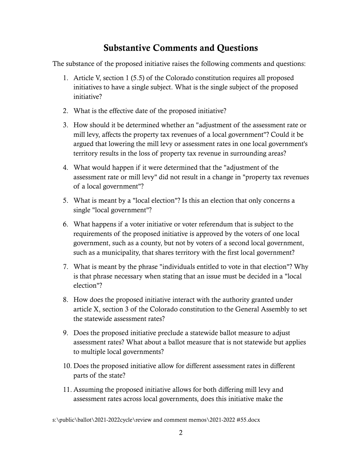### Substantive Comments and Questions

The substance of the proposed initiative raises the following comments and questions:

- 1. Article V, section 1 (5.5) of the Colorado constitution requires all proposed initiatives to have a single subject. What is the single subject of the proposed initiative?
- 2. What is the effective date of the proposed initiative?
- 3. How should it be determined whether an "adjustment of the assessment rate or mill levy, affects the property tax revenues of a local government"? Could it be argued that lowering the mill levy or assessment rates in one local government's territory results in the loss of property tax revenue in surrounding areas?
- 4. What would happen if it were determined that the "adjustment of the assessment rate or mill levy" did not result in a change in "property tax revenues of a local government"?
- 5. What is meant by a "local election"? Is this an election that only concerns a single "local government"?
- 6. What happens if a voter initiative or voter referendum that is subject to the requirements of the proposed initiative is approved by the voters of one local government, such as a county, but not by voters of a second local government, such as a municipality, that shares territory with the first local government?
- 7. What is meant by the phrase "individuals entitled to vote in that election"? Why is that phrase necessary when stating that an issue must be decided in a "local election"?
- 8. How does the proposed initiative interact with the authority granted under article X, section 3 of the Colorado constitution to the General Assembly to set the statewide assessment rates?
- 9. Does the proposed initiative preclude a statewide ballot measure to adjust assessment rates? What about a ballot measure that is not statewide but applies to multiple local governments?
- 10. Does the proposed initiative allow for different assessment rates in different parts of the state?
- 11. Assuming the proposed initiative allows for both differing mill levy and assessment rates across local governments, does this initiative make the

s:\public\ballot\2021-2022cycle\review and comment memos\2021-2022 #55.docx